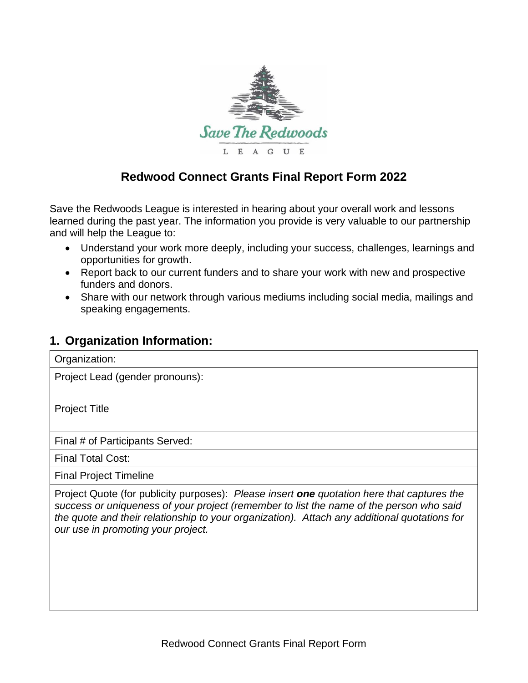

## **Redwood Connect Grants Final Report Form 2022**

Save the Redwoods League is interested in hearing about your overall work and lessons learned during the past year. The information you provide is very valuable to our partnership and will help the League to:

- Understand your work more deeply, including your success, challenges, learnings and opportunities for growth.
- Report back to our current funders and to share your work with new and prospective funders and donors.
- Share with our network through various mediums including social media, mailings and speaking engagements.

## **1. Organization Information:**

Organization:

Project Lead (gender pronouns):

Project Title

Final # of Participants Served:

Final Total Cost:

Final Project Timeline

Project Quote (for publicity purposes): *Please insert one quotation here that captures the success or uniqueness of your project (remember to list the name of the person who said the quote and their relationship to your organization). Attach any additional quotations for our use in promoting your project.*